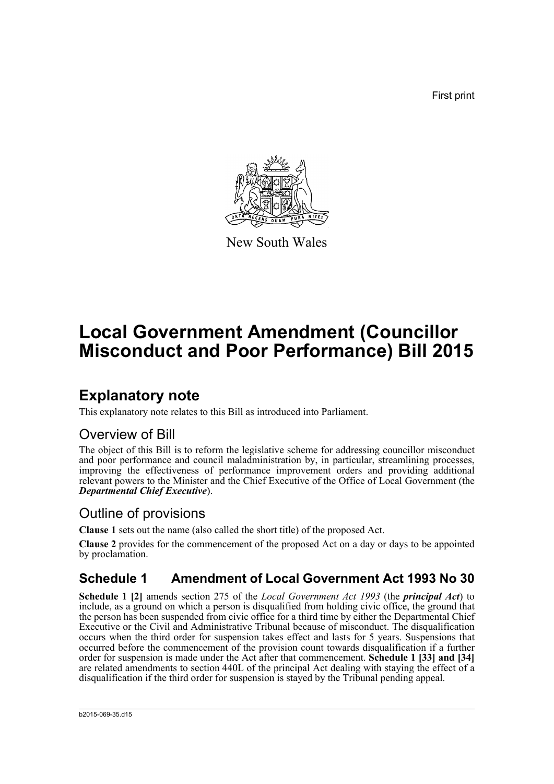First print



New South Wales

# **Local Government Amendment (Councillor Misconduct and Poor Performance) Bill 2015**

## **Explanatory note**

This explanatory note relates to this Bill as introduced into Parliament.

## Overview of Bill

The object of this Bill is to reform the legislative scheme for addressing councillor misconduct and poor performance and council maladministration by, in particular, streamlining processes, improving the effectiveness of performance improvement orders and providing additional relevant powers to the Minister and the Chief Executive of the Office of Local Government (the *Departmental Chief Executive*).

## Outline of provisions

**Clause 1** sets out the name (also called the short title) of the proposed Act.

**Clause 2** provides for the commencement of the proposed Act on a day or days to be appointed by proclamation.

## **Schedule 1 Amendment of Local Government Act 1993 No 30**

**Schedule 1 [2]** amends section 275 of the *Local Government Act 1993* (the *principal Act*) to include, as a ground on which a person is disqualified from holding civic office, the ground that the person has been suspended from civic office for a third time by either the Departmental Chief Executive or the Civil and Administrative Tribunal because of misconduct. The disqualification occurs when the third order for suspension takes effect and lasts for 5 years. Suspensions that occurred before the commencement of the provision count towards disqualification if a further order for suspension is made under the Act after that commencement. **Schedule 1 [33] and [34]** are related amendments to section 440L of the principal Act dealing with staying the effect of a disqualification if the third order for suspension is stayed by the Tribunal pending appeal.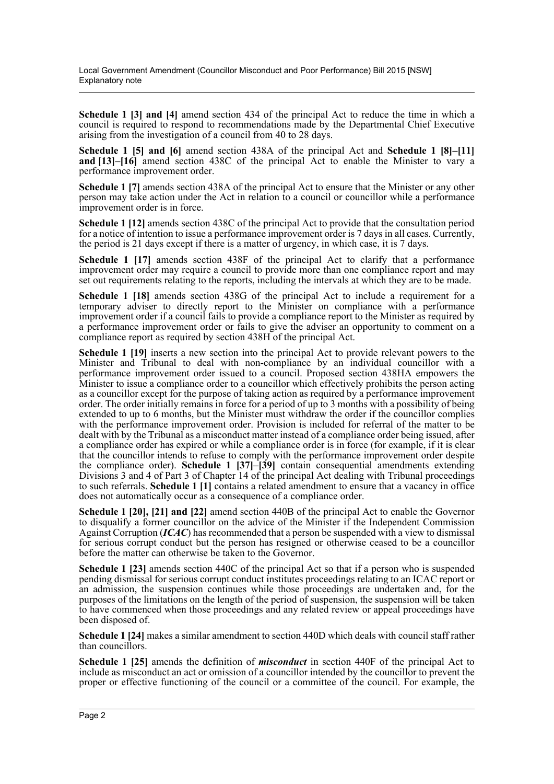**Schedule 1 [3] and [4]** amend section 434 of the principal Act to reduce the time in which a council is required to respond to recommendations made by the Departmental Chief Executive arising from the investigation of a council from 40 to 28 days.

**Schedule 1 [5] and [6]** amend section 438A of the principal Act and **Schedule 1 [8]–[11] and [13]–[16]** amend section 438C of the principal Act to enable the Minister to vary a performance improvement order.

**Schedule 1 [7]** amends section 438A of the principal Act to ensure that the Minister or any other person may take action under the Act in relation to a council or councillor while a performance improvement order is in force.

**Schedule 1 [12]** amends section 438C of the principal Act to provide that the consultation period for a notice of intention to issue a performance improvement order is 7 days in all cases. Currently, the period is 21 days except if there is a matter of urgency, in which case, it is 7 days.

**Schedule 1 [17]** amends section 438F of the principal Act to clarify that a performance improvement order may require a council to provide more than one compliance report and may set out requirements relating to the reports, including the intervals at which they are to be made.

**Schedule 1 [18]** amends section 438G of the principal Act to include a requirement for a temporary adviser to directly report to the Minister on compliance with a performance improvement order if a council fails to provide a compliance report to the Minister as required by a performance improvement order or fails to give the adviser an opportunity to comment on a compliance report as required by section 438H of the principal Act.

**Schedule 1 [19]** inserts a new section into the principal Act to provide relevant powers to the Minister and Tribunal to deal with non-compliance by an individual councillor with a performance improvement order issued to a council. Proposed section 438HA empowers the Minister to issue a compliance order to a councillor which effectively prohibits the person acting as a councillor except for the purpose of taking action as required by a performance improvement order. The order initially remains in force for a period of up to 3 months with a possibility of being extended to up to 6 months, but the Minister must withdraw the order if the councillor complies with the performance improvement order. Provision is included for referral of the matter to be dealt with by the Tribunal as a misconduct matter instead of a compliance order being issued, after a compliance order has expired or while a compliance order is in force (for example, if it is clear that the councillor intends to refuse to comply with the performance improvement order despite the compliance order). **Schedule 1 [37]–[39]** contain consequential amendments extending Divisions 3 and 4 of Part 3 of Chapter 14 of the principal Act dealing with Tribunal proceedings to such referrals. **Schedule 1 [1]** contains a related amendment to ensure that a vacancy in office does not automatically occur as a consequence of a compliance order.

**Schedule 1 [20], [21] and [22]** amend section 440B of the principal Act to enable the Governor to disqualify a former councillor on the advice of the Minister if the Independent Commission Against Corruption (*ICAC*) has recommended that a person be suspended with a view to dismissal for serious corrupt conduct but the person has resigned or otherwise ceased to be a councillor before the matter can otherwise be taken to the Governor.

**Schedule 1 [23]** amends section 440C of the principal Act so that if a person who is suspended pending dismissal for serious corrupt conduct institutes proceedings relating to an ICAC report or an admission, the suspension continues while those proceedings are undertaken and, for the purposes of the limitations on the length of the period of suspension, the suspension will be taken to have commenced when those proceedings and any related review or appeal proceedings have been disposed of.

**Schedule 1 [24]** makes a similar amendment to section 440D which deals with council staff rather than councillors.

**Schedule 1 [25]** amends the definition of *misconduct* in section 440F of the principal Act to include as misconduct an act or omission of a councillor intended by the councillor to prevent the proper or effective functioning of the council or a committee of the council. For example, the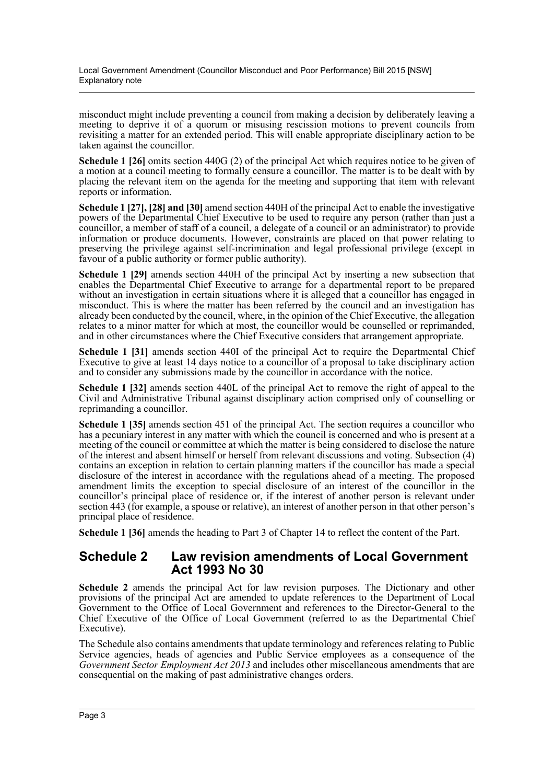Local Government Amendment (Councillor Misconduct and Poor Performance) Bill 2015 [NSW] Explanatory note

misconduct might include preventing a council from making a decision by deliberately leaving a meeting to deprive it of a quorum or misusing rescission motions to prevent councils from revisiting a matter for an extended period. This will enable appropriate disciplinary action to be taken against the councillor.

**Schedule 1 [26]** omits section 440G (2) of the principal Act which requires notice to be given of a motion at a council meeting to formally censure a councillor. The matter is to be dealt with by placing the relevant item on the agenda for the meeting and supporting that item with relevant reports or information.

**Schedule 1 [27], [28] and [30]** amend section 440H of the principal Act to enable the investigative powers of the Departmental Chief Executive to be used to require any person (rather than just a councillor, a member of staff of a council, a delegate of a council or an administrator) to provide information or produce documents. However, constraints are placed on that power relating to preserving the privilege against self-incrimination and legal professional privilege (except in favour of a public authority or former public authority).

**Schedule 1 [29]** amends section 440H of the principal Act by inserting a new subsection that enables the Departmental Chief Executive to arrange for a departmental report to be prepared without an investigation in certain situations where it is alleged that a councillor has engaged in misconduct. This is where the matter has been referred by the council and an investigation has already been conducted by the council, where, in the opinion of the Chief Executive, the allegation relates to a minor matter for which at most, the councillor would be counselled or reprimanded, and in other circumstances where the Chief Executive considers that arrangement appropriate.

**Schedule 1 [31]** amends section 440I of the principal Act to require the Departmental Chief Executive to give at least 14 days notice to a councillor of a proposal to take disciplinary action and to consider any submissions made by the councillor in accordance with the notice.

**Schedule 1 [32]** amends section 440L of the principal Act to remove the right of appeal to the Civil and Administrative Tribunal against disciplinary action comprised only of counselling or reprimanding a councillor.

**Schedule 1 [35]** amends section 451 of the principal Act. The section requires a councillor who has a pecuniary interest in any matter with which the council is concerned and who is present at a meeting of the council or committee at which the matter is being considered to disclose the nature of the interest and absent himself or herself from relevant discussions and voting. Subsection (4) contains an exception in relation to certain planning matters if the councillor has made a special disclosure of the interest in accordance with the regulations ahead of a meeting. The proposed amendment limits the exception to special disclosure of an interest of the councillor in the councillor's principal place of residence or, if the interest of another person is relevant under section 443 (for example, a spouse or relative), an interest of another person in that other person's principal place of residence.

**Schedule 1 [36]** amends the heading to Part 3 of Chapter 14 to reflect the content of the Part.

#### **Schedule 2 Law revision amendments of Local Government Act 1993 No 30**

**Schedule 2** amends the principal Act for law revision purposes. The Dictionary and other provisions of the principal Act are amended to update references to the Department of Local Government to the Office of Local Government and references to the Director-General to the Chief Executive of the Office of Local Government (referred to as the Departmental Chief Executive).

The Schedule also contains amendments that update terminology and references relating to Public Service agencies, heads of agencies and Public Service employees as a consequence of the *Government Sector Employment Act 2013* and includes other miscellaneous amendments that are consequential on the making of past administrative changes orders.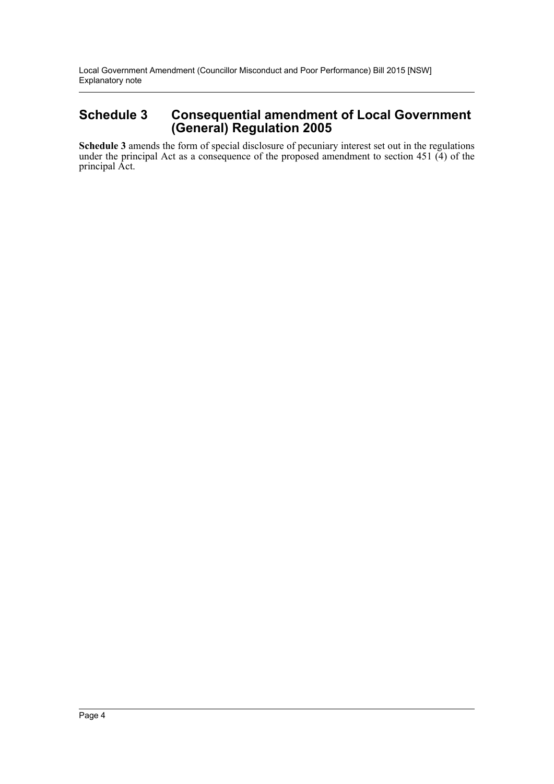Local Government Amendment (Councillor Misconduct and Poor Performance) Bill 2015 [NSW] Explanatory note

#### **Schedule 3 Consequential amendment of Local Government (General) Regulation 2005**

**Schedule 3** amends the form of special disclosure of pecuniary interest set out in the regulations under the principal Act as a consequence of the proposed amendment to section 451 (4) of the principal Act.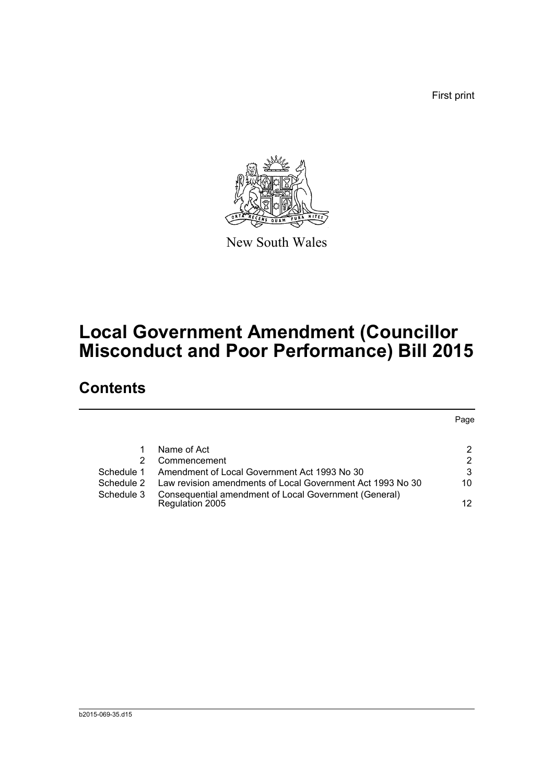First print



New South Wales

# **Local Government Amendment (Councillor Misconduct and Poor Performance) Bill 2015**

## **Contents**

|            |                                                            | Page |
|------------|------------------------------------------------------------|------|
|            |                                                            |      |
|            | Name of Act                                                | 2    |
|            | Commencement                                               | 2    |
| Schedule 1 | Amendment of Local Government Act 1993 No 30               | 3    |
| Schedule 2 | Law revision amendments of Local Government Act 1993 No 30 | 10   |
| Schedule 3 | Consequential amendment of Local Government (General)      |      |
|            | Regulation 2005                                            | 12   |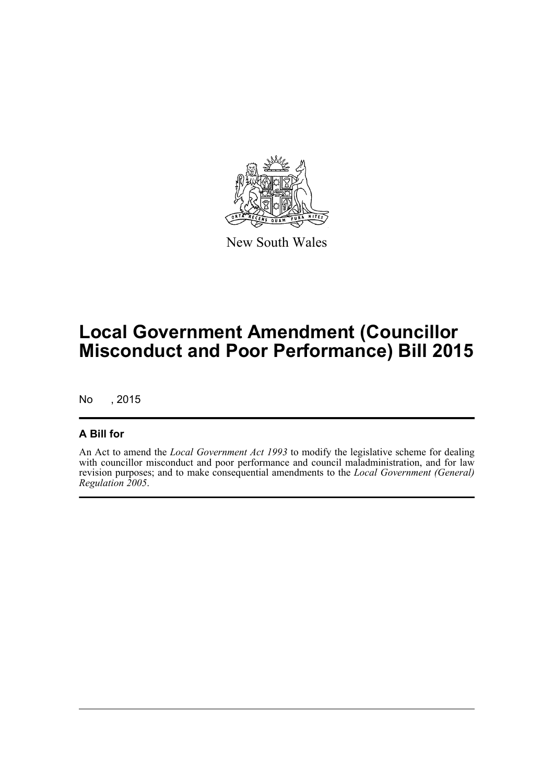

New South Wales

# **Local Government Amendment (Councillor Misconduct and Poor Performance) Bill 2015**

No , 2015

#### **A Bill for**

An Act to amend the *Local Government Act 1993* to modify the legislative scheme for dealing with councillor misconduct and poor performance and council maladministration, and for law revision purposes; and to make consequential amendments to the *Local Government (General) Regulation 2005*.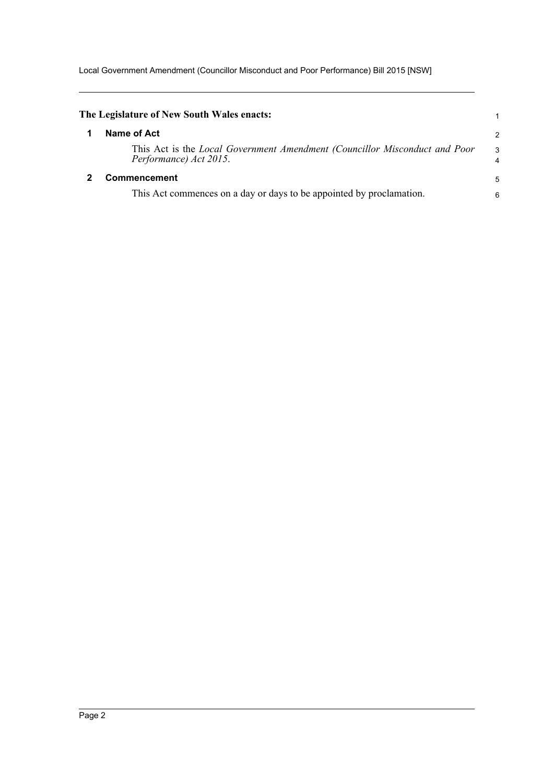Local Government Amendment (Councillor Misconduct and Poor Performance) Bill 2015 [NSW]

<span id="page-6-1"></span><span id="page-6-0"></span>

| The Legislature of New South Wales enacts:                                                           |                     |
|------------------------------------------------------------------------------------------------------|---------------------|
| Name of Act                                                                                          | 2                   |
| This Act is the Local Government Amendment (Councillor Misconduct and Poor<br>Performance) Act 2015. | 3<br>$\overline{4}$ |
| <b>Commencement</b>                                                                                  | 5                   |
| This Act commences on a day or days to be appointed by proclamation.                                 | 6                   |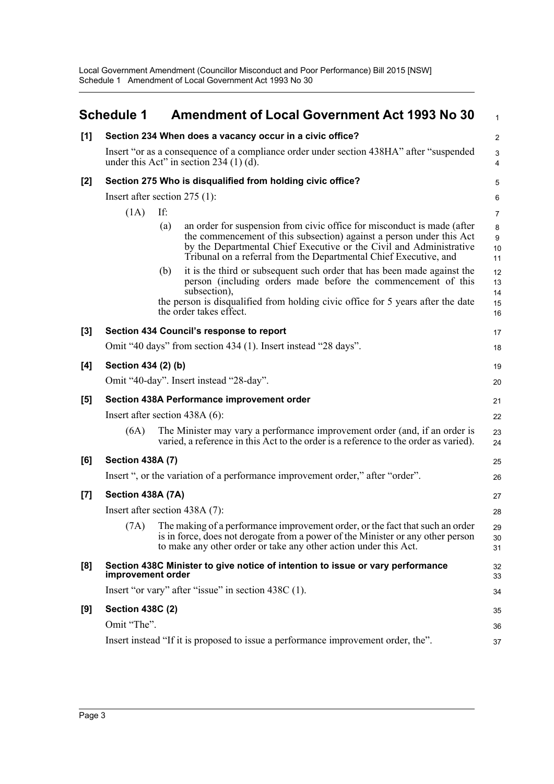Local Government Amendment (Councillor Misconduct and Poor Performance) Bill 2015 [NSW] Schedule 1 Amendment of Local Government Act 1993 No 30

<span id="page-7-0"></span>

|       | <b>Schedule 1</b>               |     | <b>Amendment of Local Government Act 1993 No 30</b>                                                                                                                                                                                                                                         | $\mathbf{1}$                 |
|-------|---------------------------------|-----|---------------------------------------------------------------------------------------------------------------------------------------------------------------------------------------------------------------------------------------------------------------------------------------------|------------------------------|
| [1]   |                                 |     | Section 234 When does a vacancy occur in a civic office?                                                                                                                                                                                                                                    | $\overline{2}$               |
|       |                                 |     | Insert "or as a consequence of a compliance order under section 438HA" after "suspended"<br>under this Act" in section $234(1)(d)$ .                                                                                                                                                        | 3<br>$\overline{\mathbf{4}}$ |
| $[2]$ |                                 |     | Section 275 Who is disqualified from holding civic office?                                                                                                                                                                                                                                  | 5                            |
|       | Insert after section $275$ (1): |     |                                                                                                                                                                                                                                                                                             | 6                            |
|       | (1A)                            | If: |                                                                                                                                                                                                                                                                                             | $\overline{7}$               |
|       |                                 | (a) | an order for suspension from civic office for misconduct is made (after<br>the commencement of this subsection) against a person under this Act<br>by the Departmental Chief Executive or the Civil and Administrative<br>Tribunal on a referral from the Departmental Chief Executive, and | 8<br>9<br>10<br>11           |
|       |                                 | (b) | it is the third or subsequent such order that has been made against the<br>person (including orders made before the commencement of this<br>subsection),<br>the person is disqualified from holding civic office for 5 years after the date<br>the order takes effect.                      | 12<br>13<br>14<br>15<br>16   |
| [3]   |                                 |     | Section 434 Council's response to report                                                                                                                                                                                                                                                    | 17                           |
|       |                                 |     | Omit "40 days" from section 434 (1). Insert instead "28 days".                                                                                                                                                                                                                              | 18                           |
| [4]   | Section 434 (2) (b)             |     |                                                                                                                                                                                                                                                                                             | 19                           |
|       |                                 |     | Omit "40-day". Insert instead "28-day".                                                                                                                                                                                                                                                     | 20                           |
| [5]   |                                 |     | Section 438A Performance improvement order                                                                                                                                                                                                                                                  | 21                           |
|       |                                 |     | Insert after section $438A(6)$ :                                                                                                                                                                                                                                                            | 22                           |
|       | (6A)                            |     | The Minister may vary a performance improvement order (and, if an order is<br>varied, a reference in this Act to the order is a reference to the order as varied).                                                                                                                          | 23<br>24                     |
| [6]   | <b>Section 438A (7)</b>         |     |                                                                                                                                                                                                                                                                                             | 25                           |
|       |                                 |     | Insert ", or the variation of a performance improvement order," after "order".                                                                                                                                                                                                              | 26                           |
| $[7]$ | Section 438A (7A)               |     |                                                                                                                                                                                                                                                                                             | 27                           |
|       |                                 |     | Insert after section 438A (7):                                                                                                                                                                                                                                                              | 28                           |
|       |                                 |     | (7A) The making of a performance improvement order, or the fact that such an order<br>is in force, does not derogate from a power of the Minister or any other person<br>to make any other order or take any other action under this Act.                                                   | 29<br>30<br>31               |
| [8]   | improvement order               |     | Section 438C Minister to give notice of intention to issue or vary performance                                                                                                                                                                                                              | 32<br>33                     |
|       |                                 |     | Insert "or vary" after "issue" in section 438C (1).                                                                                                                                                                                                                                         | 34                           |
| [9]   | <b>Section 438C (2)</b>         |     |                                                                                                                                                                                                                                                                                             | 35                           |
|       | Omit "The".                     |     |                                                                                                                                                                                                                                                                                             | 36                           |
|       |                                 |     | Insert instead "If it is proposed to issue a performance improvement order, the".                                                                                                                                                                                                           | 37                           |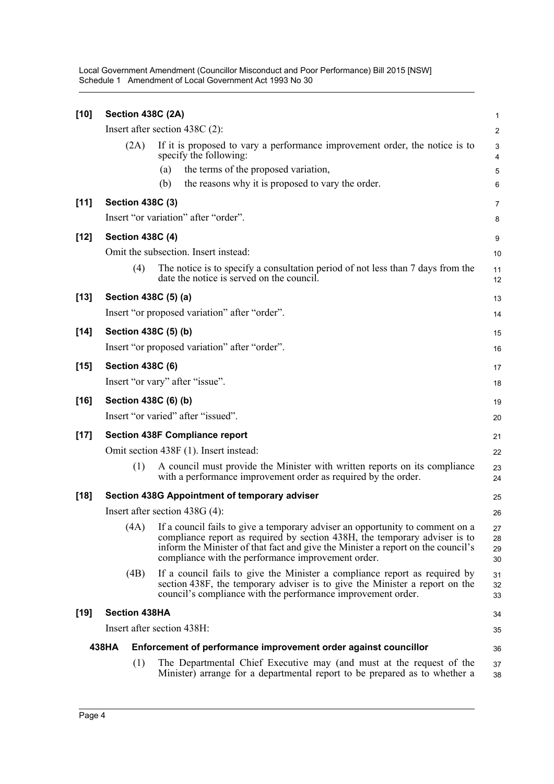Local Government Amendment (Councillor Misconduct and Poor Performance) Bill 2015 [NSW] Schedule 1 Amendment of Local Government Act 1993 No 30

| $[10]$ | Section 438C (2A)       |                                                                                                                                                                                                                                                                                                       | $\mathbf{1}$         |
|--------|-------------------------|-------------------------------------------------------------------------------------------------------------------------------------------------------------------------------------------------------------------------------------------------------------------------------------------------------|----------------------|
|        |                         | Insert after section $438C(2)$ :                                                                                                                                                                                                                                                                      | $\overline{2}$       |
|        | (2A)                    | If it is proposed to vary a performance improvement order, the notice is to<br>specify the following:                                                                                                                                                                                                 | 3<br>4               |
|        |                         | the terms of the proposed variation,<br>(a)                                                                                                                                                                                                                                                           | 5                    |
|        |                         | the reasons why it is proposed to vary the order.<br>(b)                                                                                                                                                                                                                                              | 6                    |
| [11]   | <b>Section 438C (3)</b> |                                                                                                                                                                                                                                                                                                       | 7                    |
|        |                         | Insert "or variation" after "order".                                                                                                                                                                                                                                                                  | 8                    |
| $[12]$ | <b>Section 438C (4)</b> |                                                                                                                                                                                                                                                                                                       | 9                    |
|        |                         | Omit the subsection. Insert instead:                                                                                                                                                                                                                                                                  | 10                   |
|        | (4)                     | The notice is to specify a consultation period of not less than 7 days from the<br>date the notice is served on the council.                                                                                                                                                                          | 11<br>12             |
| $[13]$ | Section 438C (5) (a)    |                                                                                                                                                                                                                                                                                                       | 13                   |
|        |                         | Insert "or proposed variation" after "order".                                                                                                                                                                                                                                                         | 14                   |
| $[14]$ | Section 438C (5) (b)    |                                                                                                                                                                                                                                                                                                       | 15                   |
|        |                         | Insert "or proposed variation" after "order".                                                                                                                                                                                                                                                         | 16                   |
| $[15]$ | <b>Section 438C (6)</b> |                                                                                                                                                                                                                                                                                                       | 17                   |
|        |                         | Insert "or vary" after "issue".                                                                                                                                                                                                                                                                       | 18                   |
| $[16]$ | Section 438C (6) (b)    |                                                                                                                                                                                                                                                                                                       | 19                   |
|        |                         | Insert "or varied" after "issued".                                                                                                                                                                                                                                                                    | 20                   |
| $[17]$ |                         | <b>Section 438F Compliance report</b>                                                                                                                                                                                                                                                                 | 21                   |
|        |                         | Omit section 438F (1). Insert instead:                                                                                                                                                                                                                                                                | 22                   |
|        | (1)                     | A council must provide the Minister with written reports on its compliance<br>with a performance improvement order as required by the order.                                                                                                                                                          | 23<br>24             |
| $[18]$ |                         | Section 438G Appointment of temporary adviser                                                                                                                                                                                                                                                         | 25                   |
|        |                         | Insert after section $438G(4)$ :                                                                                                                                                                                                                                                                      | 26                   |
|        | (4A)                    | If a council fails to give a temporary adviser an opportunity to comment on a<br>compliance report as required by section 438H, the temporary adviser is to<br>inform the Minister of that fact and give the Minister a report on the council's<br>compliance with the performance improvement order. | 27<br>28<br>29<br>30 |
|        | (4B)                    | If a council fails to give the Minister a compliance report as required by<br>section 438F, the temporary adviser is to give the Minister a report on the<br>council's compliance with the performance improvement order.                                                                             | 31<br>32<br>33       |
| $[19]$ | <b>Section 438HA</b>    |                                                                                                                                                                                                                                                                                                       | 34                   |
|        |                         | Insert after section 438H:                                                                                                                                                                                                                                                                            | 35                   |
|        | 438HA                   | Enforcement of performance improvement order against councillor                                                                                                                                                                                                                                       | 36                   |
|        | (1)                     | The Departmental Chief Executive may (and must at the request of the<br>Minister) arrange for a departmental report to be prepared as to whether a                                                                                                                                                    | 37<br>38             |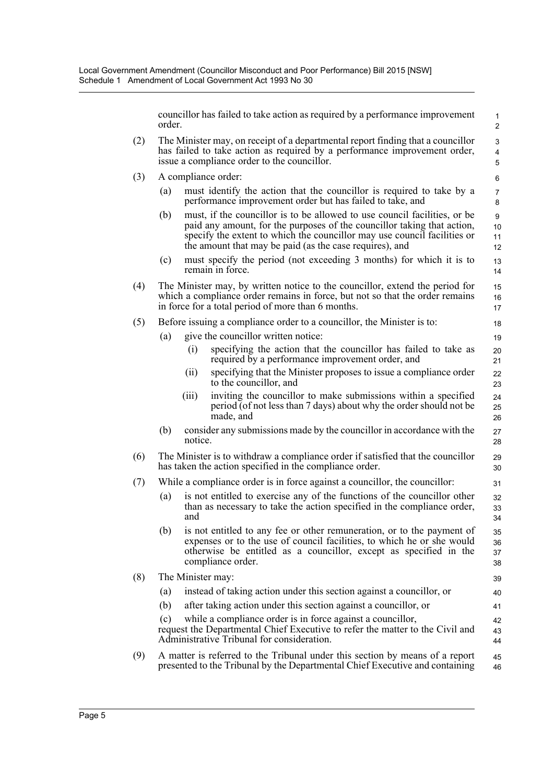councillor has failed to take action as required by a performance improvement order.

- (2) The Minister may, on receipt of a departmental report finding that a councillor has failed to take action as required by a performance improvement order, issue a compliance order to the councillor.
- (3) A compliance order:
	- (a) must identify the action that the councillor is required to take by a performance improvement order but has failed to take, and
	- (b) must, if the councillor is to be allowed to use council facilities, or be paid any amount, for the purposes of the councillor taking that action, specify the extent to which the councillor may use council facilities or the amount that may be paid (as the case requires), and
	- (c) must specify the period (not exceeding 3 months) for which it is to remain in force.
- (4) The Minister may, by written notice to the councillor, extend the period for which a compliance order remains in force, but not so that the order remains in force for a total period of more than 6 months.
- (5) Before issuing a compliance order to a councillor, the Minister is to:
	- (a) give the councillor written notice:
		- (i) specifying the action that the councillor has failed to take as required by a performance improvement order, and
		- (ii) specifying that the Minister proposes to issue a compliance order to the councillor, and
		- (iii) inviting the councillor to make submissions within a specified period (of not less than 7 days) about why the order should not be made, and
	- (b) consider any submissions made by the councillor in accordance with the notice.
- (6) The Minister is to withdraw a compliance order if satisfied that the councillor has taken the action specified in the compliance order.
- (7) While a compliance order is in force against a councillor, the councillor:
	- (a) is not entitled to exercise any of the functions of the councillor other than as necessary to take the action specified in the compliance order, and
	- (b) is not entitled to any fee or other remuneration, or to the payment of expenses or to the use of council facilities, to which he or she would otherwise be entitled as a councillor, except as specified in the compliance order.
- (8) The Minister may: (a) instead of taking action under this section against a councillor, or (b) after taking action under this section against a councillor, or (c) while a compliance order is in force against a councillor, request the Departmental Chief Executive to refer the matter to the Civil and Administrative Tribunal for consideration. 39 40 41 42 43 44
- (9) A matter is referred to the Tribunal under this section by means of a report presented to the Tribunal by the Departmental Chief Executive and containing 45 46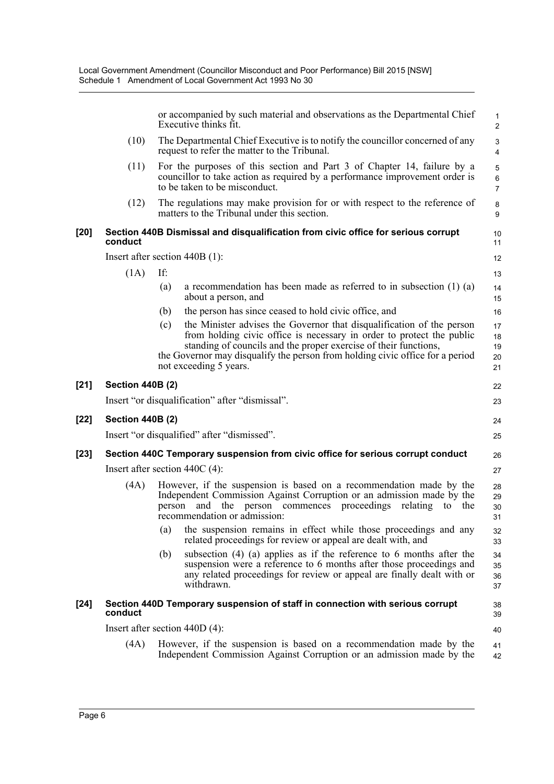|        |                                  | or accompanied by such material and observations as the Departmental Chief<br>Executive thinks fit.                                                                                                                                                                                                                                  | $\mathbf 1$<br>$\overline{2}$  |  |  |  |
|--------|----------------------------------|--------------------------------------------------------------------------------------------------------------------------------------------------------------------------------------------------------------------------------------------------------------------------------------------------------------------------------------|--------------------------------|--|--|--|
|        | (10)                             | The Departmental Chief Executive is to notify the councillor concerned of any<br>request to refer the matter to the Tribunal.                                                                                                                                                                                                        | 3<br>$\overline{4}$            |  |  |  |
|        | (11)                             | For the purposes of this section and Part 3 of Chapter 14, failure by a<br>councillor to take action as required by a performance improvement order is<br>to be taken to be misconduct.                                                                                                                                              | 5<br>$\,6\,$<br>$\overline{7}$ |  |  |  |
|        | (12)                             | The regulations may make provision for or with respect to the reference of<br>matters to the Tribunal under this section.                                                                                                                                                                                                            | 8<br>9                         |  |  |  |
| [20]   | conduct                          | Section 440B Dismissal and disqualification from civic office for serious corrupt                                                                                                                                                                                                                                                    | 10<br>11                       |  |  |  |
|        |                                  | Insert after section $440B(1)$ :                                                                                                                                                                                                                                                                                                     | 12                             |  |  |  |
|        | (1A)                             | If:                                                                                                                                                                                                                                                                                                                                  | 13                             |  |  |  |
|        |                                  | (a)<br>a recommendation has been made as referred to in subsection $(1)$ $(a)$<br>about a person, and                                                                                                                                                                                                                                | 14<br>15                       |  |  |  |
|        |                                  | the person has since ceased to hold civic office, and<br>(b)                                                                                                                                                                                                                                                                         | 16                             |  |  |  |
|        |                                  | the Minister advises the Governor that disqualification of the person<br>(c)<br>from holding civic office is necessary in order to protect the public<br>standing of councils and the proper exercise of their functions,<br>the Governor may disqualify the person from holding civic office for a period<br>not exceeding 5 years. | 17<br>18<br>19<br>20<br>21     |  |  |  |
| $[21]$ | <b>Section 440B (2)</b>          |                                                                                                                                                                                                                                                                                                                                      | 22                             |  |  |  |
|        |                                  | Insert "or disqualification" after "dismissal".                                                                                                                                                                                                                                                                                      | 23                             |  |  |  |
| [22]   | <b>Section 440B (2)</b>          |                                                                                                                                                                                                                                                                                                                                      | 24                             |  |  |  |
|        |                                  | Insert "or disqualified" after "dismissed".                                                                                                                                                                                                                                                                                          | 25                             |  |  |  |
| [23]   |                                  | Section 440C Temporary suspension from civic office for serious corrupt conduct                                                                                                                                                                                                                                                      | 26                             |  |  |  |
|        | Insert after section $440C(4)$ : |                                                                                                                                                                                                                                                                                                                                      |                                |  |  |  |
|        | (4A)                             | However, if the suspension is based on a recommendation made by the<br>Independent Commission Against Corruption or an admission made by the<br>the<br>person commences proceedings relating<br>person<br>and<br>to<br>the<br>recommendation or admission:                                                                           | 28<br>29<br>30<br>31           |  |  |  |
|        |                                  | (a)<br>the suspension remains in effect while those proceedings and any<br>related proceedings for review or appeal are dealt with, and                                                                                                                                                                                              | 32<br>33                       |  |  |  |
|        |                                  | subsection $(4)$ $(a)$ applies as if the reference to 6 months after the<br>(b)<br>suspension were a reference to 6 months after those proceedings and<br>any related proceedings for review or appeal are finally dealt with or<br>withdrawn.                                                                                       | 34<br>35<br>36<br>37           |  |  |  |
| $[24]$ | conduct                          | Section 440D Temporary suspension of staff in connection with serious corrupt                                                                                                                                                                                                                                                        | 38<br>39                       |  |  |  |
|        |                                  | Insert after section $440D(4)$ :                                                                                                                                                                                                                                                                                                     | 40                             |  |  |  |
|        | (4A)                             | However, if the suspension is based on a recommendation made by the<br>Independent Commission Against Corruption or an admission made by the                                                                                                                                                                                         | 41<br>42                       |  |  |  |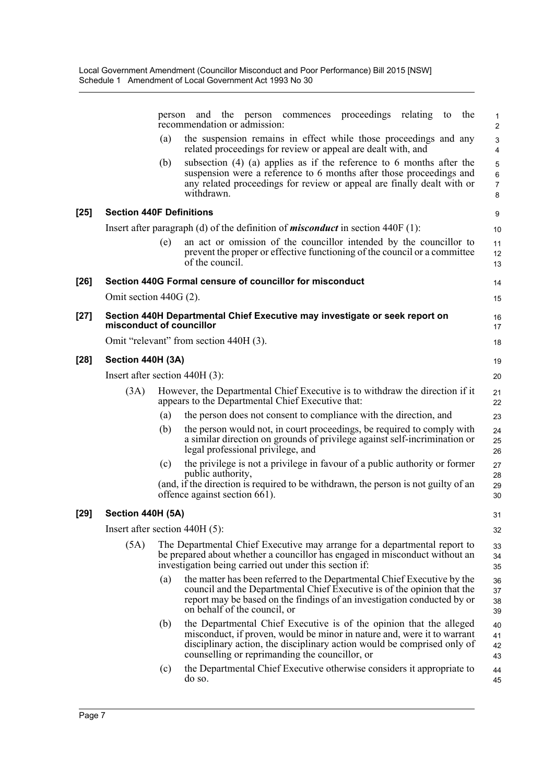|        |                                  | person | and the person commences proceedings relating to<br>the<br>recommendation or admission:                                                                                                                                                                                     | 1<br>$\overline{c}$                     |
|--------|----------------------------------|--------|-----------------------------------------------------------------------------------------------------------------------------------------------------------------------------------------------------------------------------------------------------------------------------|-----------------------------------------|
|        |                                  | (a)    | the suspension remains in effect while those proceedings and any<br>related proceedings for review or appeal are dealt with, and                                                                                                                                            | 3<br>$\overline{4}$                     |
|        |                                  | (b)    | subsection $(4)$ (a) applies as if the reference to 6 months after the<br>suspension were a reference to 6 months after those proceedings and<br>any related proceedings for review or appeal are finally dealt with or<br>withdrawn.                                       | $\mathbf 5$<br>6<br>$\overline{7}$<br>8 |
| $[25]$ | <b>Section 440F Definitions</b>  |        |                                                                                                                                                                                                                                                                             | 9                                       |
|        |                                  |        | Insert after paragraph (d) of the definition of <i>misconduct</i> in section 440F (1):                                                                                                                                                                                      | 10                                      |
|        |                                  | (e)    | an act or omission of the councillor intended by the councillor to<br>prevent the proper or effective functioning of the council or a committee<br>of the council.                                                                                                          | 11<br>12<br>13                          |
| $[26]$ |                                  |        | Section 440G Formal censure of councillor for misconduct                                                                                                                                                                                                                    | 14                                      |
|        | Omit section $440G(2)$ .         |        |                                                                                                                                                                                                                                                                             | 15                                      |
| $[27]$ | misconduct of councillor         |        | Section 440H Departmental Chief Executive may investigate or seek report on                                                                                                                                                                                                 | 16<br>17                                |
|        |                                  |        | Omit "relevant" from section 440H (3).                                                                                                                                                                                                                                      | 18                                      |
| $[28]$ | Section 440H (3A)                |        |                                                                                                                                                                                                                                                                             | 19                                      |
|        | Insert after section 440H (3):   |        |                                                                                                                                                                                                                                                                             | 20                                      |
|        | (3A)                             |        | However, the Departmental Chief Executive is to withdraw the direction if it<br>appears to the Departmental Chief Executive that:                                                                                                                                           | 21<br>22                                |
|        |                                  | (a)    | the person does not consent to compliance with the direction, and                                                                                                                                                                                                           | 23                                      |
|        |                                  | (b)    | the person would not, in court proceedings, be required to comply with<br>a similar direction on grounds of privilege against self-incrimination or<br>legal professional privilege, and                                                                                    | 24<br>25<br>26                          |
|        |                                  | (c)    | the privilege is not a privilege in favour of a public authority or former                                                                                                                                                                                                  | 27                                      |
|        |                                  |        | public authority,<br>(and, if the direction is required to be withdrawn, the person is not guilty of an<br>offence against section 661).                                                                                                                                    | 28<br>29<br>30                          |
| $[29]$ | Section 440H (5A)                |        |                                                                                                                                                                                                                                                                             | 31                                      |
|        | Insert after section $440H(5)$ : |        |                                                                                                                                                                                                                                                                             | 32                                      |
|        | (5A)                             |        | The Departmental Chief Executive may arrange for a departmental report to<br>be prepared about whether a councillor has engaged in misconduct without an<br>investigation being carried out under this section if:                                                          | 33<br>34<br>35                          |
|        |                                  | (a)    | the matter has been referred to the Departmental Chief Executive by the<br>council and the Departmental Chief Executive is of the opinion that the<br>report may be based on the findings of an investigation conducted by or<br>on behalf of the council, or               | 36<br>37<br>38<br>39                    |
|        |                                  | (b)    | the Departmental Chief Executive is of the opinion that the alleged<br>misconduct, if proven, would be minor in nature and, were it to warrant<br>disciplinary action, the disciplinary action would be comprised only of<br>counselling or reprimanding the councillor, or | 40<br>41<br>42<br>43                    |
|        |                                  | (c)    | the Departmental Chief Executive otherwise considers it appropriate to<br>do so.                                                                                                                                                                                            | 44<br>45                                |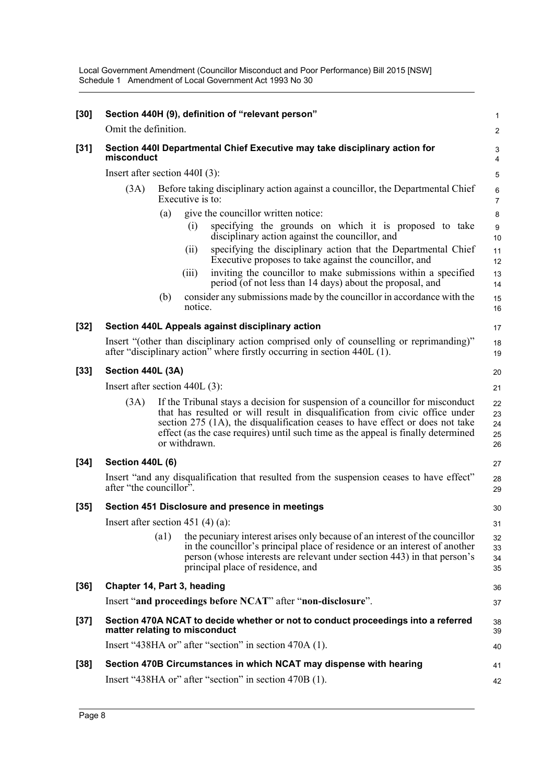Local Government Amendment (Councillor Misconduct and Poor Performance) Bill 2015 [NSW] Schedule 1 Amendment of Local Government Act 1993 No 30

| $[30]$ |                                   |                    |                                                                                                    | Section 440H (9), definition of "relevant person"                                                                                                                                                                                                                                                                                    | $\mathbf{1}$               |  |
|--------|-----------------------------------|--------------------|----------------------------------------------------------------------------------------------------|--------------------------------------------------------------------------------------------------------------------------------------------------------------------------------------------------------------------------------------------------------------------------------------------------------------------------------------|----------------------------|--|
|        | Omit the definition.              |                    |                                                                                                    |                                                                                                                                                                                                                                                                                                                                      | 2                          |  |
| $[31]$ | misconduct                        |                    |                                                                                                    | Section 440I Departmental Chief Executive may take disciplinary action for                                                                                                                                                                                                                                                           | 3<br>4                     |  |
|        | Insert after section 440I (3):    |                    |                                                                                                    |                                                                                                                                                                                                                                                                                                                                      |                            |  |
|        | (3A)                              |                    | Before taking disciplinary action against a councillor, the Departmental Chief<br>Executive is to: |                                                                                                                                                                                                                                                                                                                                      |                            |  |
|        |                                   | (a)                |                                                                                                    | give the councillor written notice:                                                                                                                                                                                                                                                                                                  | 8                          |  |
|        |                                   |                    | (1)                                                                                                | specifying the grounds on which it is proposed to take<br>disciplinary action against the councillor, and                                                                                                                                                                                                                            | 9<br>10                    |  |
|        |                                   |                    | (i)                                                                                                | specifying the disciplinary action that the Departmental Chief<br>Executive proposes to take against the councillor, and                                                                                                                                                                                                             | 11<br>12                   |  |
|        |                                   |                    | (iii)                                                                                              | inviting the councillor to make submissions within a specified<br>period (of not less than 14 days) about the proposal, and                                                                                                                                                                                                          | 13<br>14                   |  |
|        |                                   | (b)                | notice.                                                                                            | consider any submissions made by the council or in accordance with the                                                                                                                                                                                                                                                               | 15<br>16                   |  |
| $[32]$ |                                   |                    |                                                                                                    | Section 440L Appeals against disciplinary action                                                                                                                                                                                                                                                                                     | 17                         |  |
|        |                                   |                    |                                                                                                    | Insert "(other than disciplinary action comprised only of counselling or reprimanding)"<br>after "disciplinary action" where firstly occurring in section 440L (1).                                                                                                                                                                  | 18<br>19                   |  |
| $[33]$ | Section 440L (3A)                 |                    |                                                                                                    |                                                                                                                                                                                                                                                                                                                                      |                            |  |
|        | Insert after section $440L(3)$ :  |                    |                                                                                                    |                                                                                                                                                                                                                                                                                                                                      |                            |  |
|        | (3A)                              |                    | or withdrawn.                                                                                      | If the Tribunal stays a decision for suspension of a councillor for misconduct<br>that has resulted or will result in disqualification from civic office under<br>section 275 (1A), the disqualification ceases to have effect or does not take<br>effect (as the case requires) until such time as the appeal is finally determined | 22<br>23<br>24<br>25<br>26 |  |
| $[34]$ | <b>Section 440L (6)</b>           |                    |                                                                                                    |                                                                                                                                                                                                                                                                                                                                      | 27                         |  |
|        | after "the councillor".           |                    |                                                                                                    | Insert "and any disqualification that resulted from the suspension ceases to have effect"                                                                                                                                                                                                                                            | 28<br>29                   |  |
| $[35]$ |                                   |                    |                                                                                                    | Section 451 Disclosure and presence in meetings                                                                                                                                                                                                                                                                                      | 30                         |  |
|        | Insert after section 451 (4) (a): |                    |                                                                                                    |                                                                                                                                                                                                                                                                                                                                      | 31                         |  |
|        |                                   | $\left( a1\right)$ |                                                                                                    | the pecuniary interest arises only because of an interest of the councillor<br>in the council lor's principal place of residence or an interest of another<br>person (whose interests are relevant under section 443) in that person's<br>principal place of residence, and                                                          | 32<br>33<br>34<br>35       |  |
| $[36]$ | Chapter 14, Part 3, heading       |                    |                                                                                                    |                                                                                                                                                                                                                                                                                                                                      | 36                         |  |
|        |                                   |                    |                                                                                                    | Insert "and proceedings before NCAT" after "non-disclosure".                                                                                                                                                                                                                                                                         | 37                         |  |
| $[37]$ | matter relating to misconduct     |                    |                                                                                                    | Section 470A NCAT to decide whether or not to conduct proceedings into a referred                                                                                                                                                                                                                                                    | 38<br>39                   |  |
|        |                                   |                    |                                                                                                    | Insert "438HA or" after "section" in section 470A (1).                                                                                                                                                                                                                                                                               | 40                         |  |
| $[38]$ |                                   |                    |                                                                                                    | Section 470B Circumstances in which NCAT may dispense with hearing                                                                                                                                                                                                                                                                   | 41                         |  |
|        |                                   |                    |                                                                                                    | Insert "438HA or" after "section" in section 470B (1).                                                                                                                                                                                                                                                                               | 42                         |  |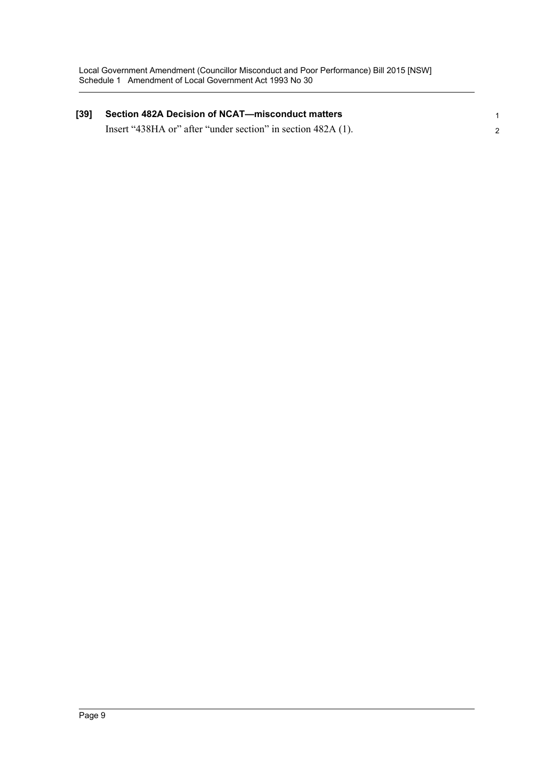| $[39]$ | <b>Section 482A Decision of NCAT-misconduct matters</b>      |  |  |  |
|--------|--------------------------------------------------------------|--|--|--|
|        | Insert "438HA or" after "under section" in section 482A (1). |  |  |  |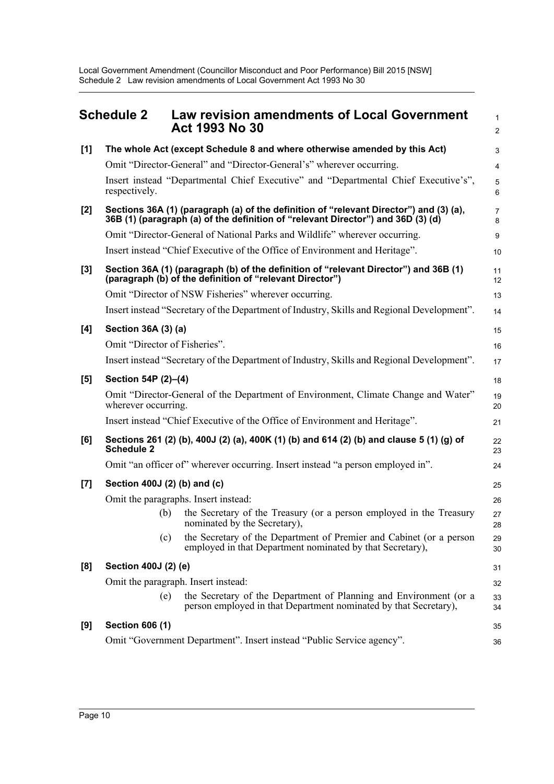Local Government Amendment (Councillor Misconduct and Poor Performance) Bill 2015 [NSW] Schedule 2 Law revision amendments of Local Government Act 1993 No 30

<span id="page-14-0"></span>

|       | <b>Schedule 2</b>             | <b>Law revision amendments of Local Government</b><br>Act 1993 No 30                                                                                                       | $\mathbf{1}$<br>$\overline{2}$ |
|-------|-------------------------------|----------------------------------------------------------------------------------------------------------------------------------------------------------------------------|--------------------------------|
| [1]   |                               | The whole Act (except Schedule 8 and where otherwise amended by this Act)                                                                                                  | 3                              |
|       |                               | Omit "Director-General" and "Director-General's" wherever occurring.                                                                                                       | 4                              |
|       | respectively.                 | Insert instead "Departmental Chief Executive" and "Departmental Chief Executive's",                                                                                        | 5<br>6                         |
| $[2]$ |                               | Sections 36A (1) (paragraph (a) of the definition of "relevant Director") and (3) (a),<br>36B (1) (paragraph (a) of the definition of "relevant Director") and 36D (3) (d) | $\overline{7}$<br>8            |
|       |                               | Omit "Director-General of National Parks and Wildlife" wherever occurring.                                                                                                 | 9                              |
|       |                               | Insert instead "Chief Executive of the Office of Environment and Heritage".                                                                                                | 10                             |
| $[3]$ |                               | Section 36A (1) (paragraph (b) of the definition of "relevant Director") and 36B (1)<br>(paragraph (b) of the definition of "relevant Director")                           | 11<br>12                       |
|       |                               | Omit "Director of NSW Fisheries" wherever occurring.                                                                                                                       | 13                             |
|       |                               | Insert instead "Secretary of the Department of Industry, Skills and Regional Development".                                                                                 | 14                             |
| [4]   | Section 36A (3) (a)           |                                                                                                                                                                            | 15                             |
|       | Omit "Director of Fisheries". |                                                                                                                                                                            | 16                             |
|       |                               | Insert instead "Secretary of the Department of Industry, Skills and Regional Development".                                                                                 | 17                             |
| [5]   | Section 54P (2)-(4)           |                                                                                                                                                                            | 18                             |
|       | wherever occurring.           | Omit "Director-General of the Department of Environment, Climate Change and Water"                                                                                         | 19<br>20                       |
|       |                               | Insert instead "Chief Executive of the Office of Environment and Heritage".                                                                                                | 21                             |
| [6]   | <b>Schedule 2</b>             | Sections 261 (2) (b), 400J (2) (a), 400K (1) (b) and 614 (2) (b) and clause 5 (1) (g) of                                                                                   | 22<br>23                       |
|       |                               | Omit "an officer of" wherever occurring. Insert instead "a person employed in".                                                                                            | 24                             |
| [7]   | Section 400J (2) (b) and (c)  |                                                                                                                                                                            | 25                             |
|       |                               | Omit the paragraphs. Insert instead:                                                                                                                                       | 26                             |
|       | (b)                           | the Secretary of the Treasury (or a person employed in the Treasury<br>nominated by the Secretary),                                                                        | 27<br>28                       |
|       | (c)                           | the Secretary of the Department of Premier and Cabinet (or a person<br>employed in that Department nominated by that Secretary),                                           | 29<br>30                       |
| [8]   | Section 400J (2) (e)          |                                                                                                                                                                            | 31                             |
|       |                               | Omit the paragraph. Insert instead:                                                                                                                                        | 32                             |
|       | (e)                           | the Secretary of the Department of Planning and Environment (or a<br>person employed in that Department nominated by that Secretary),                                      | 33<br>34                       |
| [9]   | <b>Section 606 (1)</b>        |                                                                                                                                                                            | 35                             |
|       |                               | Omit "Government Department". Insert instead "Public Service agency".                                                                                                      | 36                             |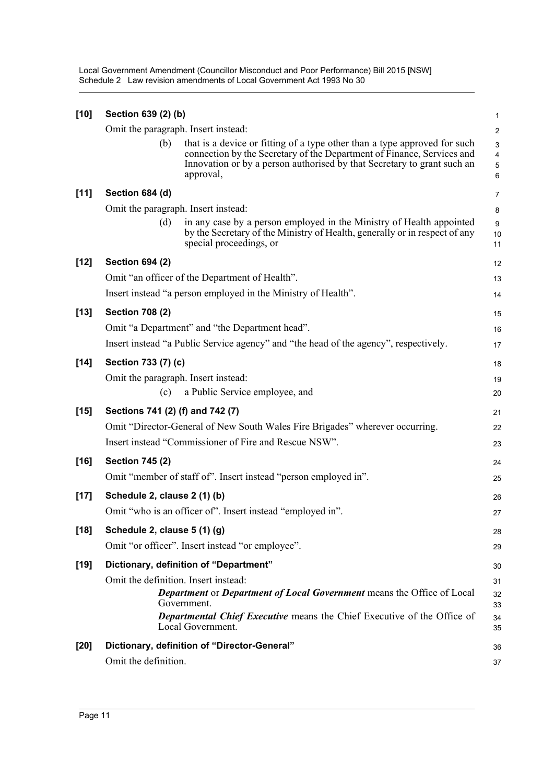Local Government Amendment (Councillor Misconduct and Poor Performance) Bill 2015 [NSW] Schedule 2 Law revision amendments of Local Government Act 1993 No 30

| $[10]$ | Section 639 (2) (b)              |                                                                                                                                                                                                                                             | $\mathbf{1}$                                      |
|--------|----------------------------------|---------------------------------------------------------------------------------------------------------------------------------------------------------------------------------------------------------------------------------------------|---------------------------------------------------|
|        |                                  | Omit the paragraph. Insert instead:                                                                                                                                                                                                         | $\overline{c}$                                    |
|        | (b)                              | that is a device or fitting of a type other than a type approved for such<br>connection by the Secretary of the Department of Finance, Services and<br>Innovation or by a person authorised by that Secretary to grant such an<br>approval, | $\mathsf 3$<br>$\overline{4}$<br>$\mathbf 5$<br>6 |
| $[11]$ | Section 684 (d)                  |                                                                                                                                                                                                                                             | $\overline{7}$                                    |
|        |                                  | Omit the paragraph. Insert instead:                                                                                                                                                                                                         | 8                                                 |
|        | (d)                              | in any case by a person employed in the Ministry of Health appointed<br>by the Secretary of the Ministry of Health, generally or in respect of any<br>special proceedings, or                                                               | 9<br>10<br>11                                     |
| $[12]$ | <b>Section 694 (2)</b>           |                                                                                                                                                                                                                                             | 12                                                |
|        |                                  | Omit "an officer of the Department of Health".                                                                                                                                                                                              | 13                                                |
|        |                                  | Insert instead "a person employed in the Ministry of Health".                                                                                                                                                                               | 14                                                |
| $[13]$ | <b>Section 708 (2)</b>           |                                                                                                                                                                                                                                             | 15                                                |
|        |                                  | Omit "a Department" and "the Department head".                                                                                                                                                                                              | 16                                                |
|        |                                  | Insert instead "a Public Service agency" and "the head of the agency", respectively.                                                                                                                                                        | 17                                                |
| $[14]$ | Section 733 (7) (c)              |                                                                                                                                                                                                                                             | 18                                                |
|        |                                  | Omit the paragraph. Insert instead:                                                                                                                                                                                                         | 19                                                |
|        | (c)                              | a Public Service employee, and                                                                                                                                                                                                              | 20                                                |
| $[15]$ | Sections 741 (2) (f) and 742 (7) |                                                                                                                                                                                                                                             | 21                                                |
|        |                                  | Omit "Director-General of New South Wales Fire Brigades" wherever occurring.                                                                                                                                                                | 22                                                |
|        |                                  | Insert instead "Commissioner of Fire and Rescue NSW".                                                                                                                                                                                       | 23                                                |
| $[16]$ | <b>Section 745 (2)</b>           |                                                                                                                                                                                                                                             | 24                                                |
|        |                                  | Omit "member of staff of". Insert instead "person employed in".                                                                                                                                                                             | 25                                                |
| $[17]$ | Schedule 2, clause 2 (1) (b)     |                                                                                                                                                                                                                                             | 26                                                |
|        |                                  | Omit "who is an officer of". Insert instead "employed in".                                                                                                                                                                                  | 27                                                |
| $[18]$ | Schedule 2, clause 5 (1) (g)     |                                                                                                                                                                                                                                             | 28                                                |
|        |                                  | Omit "or officer". Insert instead "or employee".                                                                                                                                                                                            | 29                                                |
| $[19]$ |                                  | Dictionary, definition of "Department"                                                                                                                                                                                                      | 30                                                |
|        |                                  | Omit the definition. Insert instead:                                                                                                                                                                                                        | 31                                                |
|        |                                  | <b>Department or Department of Local Government</b> means the Office of Local<br>Government.                                                                                                                                                | 32                                                |
|        |                                  | Departmental Chief Executive means the Chief Executive of the Office of<br>Local Government.                                                                                                                                                | 33<br>34<br>35                                    |
| $[20]$ |                                  | Dictionary, definition of "Director-General"                                                                                                                                                                                                | 36                                                |
|        | Omit the definition.             |                                                                                                                                                                                                                                             | 37                                                |
|        |                                  |                                                                                                                                                                                                                                             |                                                   |